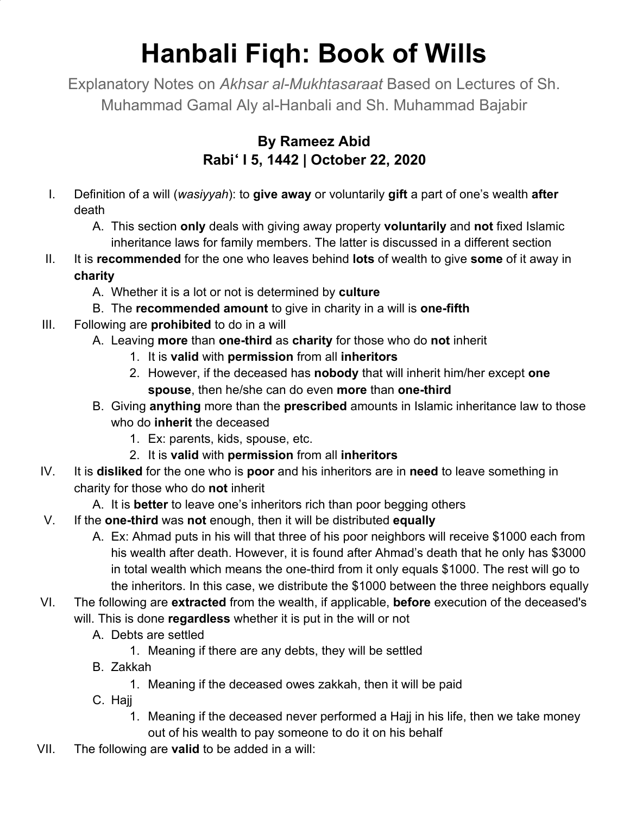## **Hanbali Fiqh: Book of Wills**

Explanatory Notes on *Akhsar al-Mukhtasaraat* Based on Lectures of Sh. Muhammad Gamal Aly al-Hanbali and Sh. Muhammad Bajabir

## **By Rameez Abid Rabi**ʻ **I 5, 1442 | October 22, 2020**

- I. Definition of a will (*wasiyyah*): to **give away** or voluntarily **gift** a part of one's wealth **after** death
	- A. This section **only** deals with giving away property **voluntarily** and **not** fixed Islamic inheritance laws for family members. The latter is discussed in a different section
- II. It is **recommended** for the one who leaves behind **lots** of wealth to give **some** of it away in **charity**
	- A. Whether it is a lot or not is determined by **culture**
	- B. The **recommended amount** to give in charity in a will is **one-fifth**
- III. Following are **prohibited** to do in a will
	- A. Leaving **more** than **one-third** as **charity** for those who do **not** inherit
		- 1. It is **valid** with **permission** from all **inheritors**
		- 2. However, if the deceased has **nobody** that will inherit him/her except **one spouse**, then he/she can do even **more** than **one-third**
	- B. Giving **anything** more than the **prescribed** amounts in Islamic inheritance law to those who do **inherit** the deceased
		- 1. Ex: parents, kids, spouse, etc.
		- 2. It is **valid** with **permission** from all **inheritors**
- IV. It is **disliked** for the one who is **poor** and his inheritors are in **need** to leave something in charity for those who do **not** inherit
	- A. It is **better** to leave one's inheritors rich than poor begging others
- V. If the **one-third** was **not** enough, then it will be distributed **equally**
	- A. Ex: Ahmad puts in his will that three of his poor neighbors will receive \$1000 each from his wealth after death. However, it is found after Ahmad's death that he only has \$3000 in total wealth which means the one-third from it only equals \$1000. The rest will go to the inheritors. In this case, we distribute the \$1000 between the three neighbors equally
- VI. The following are **extracted** from the wealth, if applicable, **before** execution of the deceased's will. This is done **regardless** whether it is put in the will or not
	- A. Debts are settled
		- 1. Meaning if there are any debts, they will be settled
	- B. Zakkah
		- 1. Meaning if the deceased owes zakkah, then it will be paid
	- C. Hajj
		- 1. Meaning if the deceased never performed a Hajj in his life, then we take money out of his wealth to pay someone to do it on his behalf
- VII. The following are **valid** to be added in a will: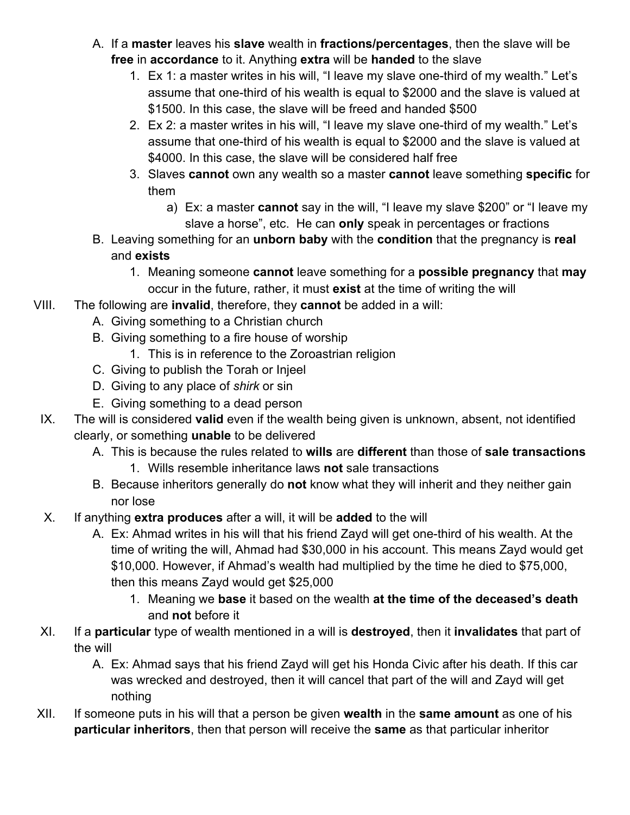- A. If a **master** leaves his **slave** wealth in **fractions/percentages**, then the slave will be **free** in **accordance** to it. Anything **extra** will be **handed** to the slave
	- 1. Ex 1: a master writes in his will, "I leave my slave one-third of my wealth." Let's assume that one-third of his wealth is equal to \$2000 and the slave is valued at \$1500. In this case, the slave will be freed and handed \$500
	- 2. Ex 2: a master writes in his will, "I leave my slave one-third of my wealth." Let's assume that one-third of his wealth is equal to \$2000 and the slave is valued at \$4000. In this case, the slave will be considered half free
	- 3. Slaves **cannot** own any wealth so a master **cannot** leave something **specific** for them
		- a) Ex: a master **cannot** say in the will, "I leave my slave \$200" or "I leave my slave a horse", etc. He can **only** speak in percentages or fractions
- B. Leaving something for an **unborn baby** with the **condition** that the pregnancy is **real** and **exists**
	- 1. Meaning someone **cannot** leave something for a **possible pregnancy** that **may** occur in the future, rather, it must **exist** at the time of writing the will
- VIII. The following are **invalid**, therefore, they **cannot** be added in a will:
	- A. Giving something to a Christian church
	- B. Giving something to a fire house of worship
		- 1. This is in reference to the Zoroastrian religion
	- C. Giving to publish the Torah or Injeel
	- D. Giving to any place of *shirk* or sin
	- E. Giving something to a dead person
	- IX. The will is considered **valid** even if the wealth being given is unknown, absent, not identified clearly, or something **unable** to be delivered
		- A. This is because the rules related to **wills** are **different** than those of **sale transactions**
			- 1. Wills resemble inheritance laws **not** sale transactions
		- B. Because inheritors generally do **not** know what they will inherit and they neither gain nor lose
	- X. If anything **extra produces** after a will, it will be **added** to the will
		- A. Ex: Ahmad writes in his will that his friend Zayd will get one-third of his wealth. At the time of writing the will, Ahmad had \$30,000 in his account. This means Zayd would get \$10,000. However, if Ahmad's wealth had multiplied by the time he died to \$75,000, then this means Zayd would get \$25,000
			- 1. Meaning we **base** it based on the wealth **at the time of the deceased's death** and **not** before it
	- XI. If a **particular** type of wealth mentioned in a will is **destroyed**, then it **invalidates** that part of the will
		- A. Ex: Ahmad says that his friend Zayd will get his Honda Civic after his death. If this car was wrecked and destroyed, then it will cancel that part of the will and Zayd will get nothing
- XII. If someone puts in his will that a person be given **wealth** in the **same amount** as one of his **particular inheritors**, then that person will receive the **same** as that particular inheritor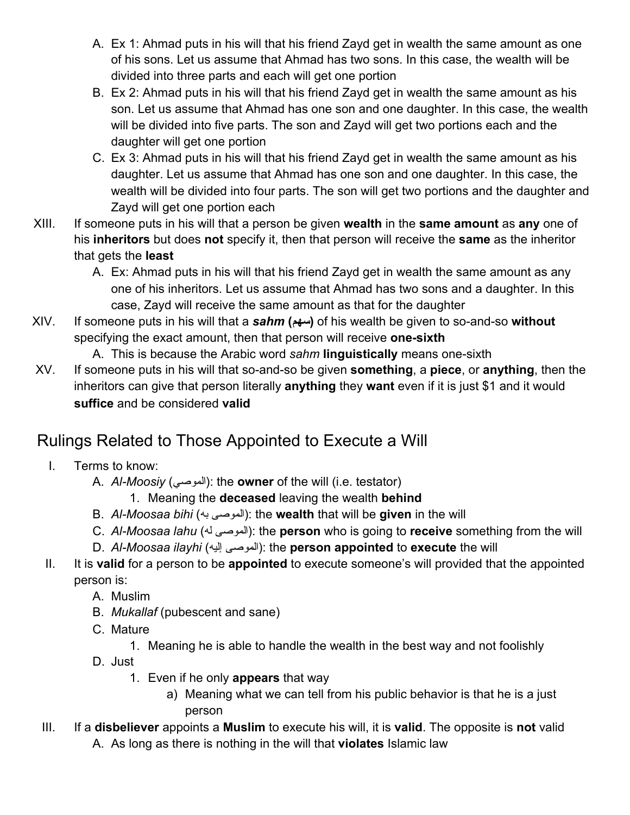- A. Ex 1: Ahmad puts in his will that his friend Zayd get in wealth the same amount as one of his sons. Let us assume that Ahmad has two sons. In this case, the wealth will be divided into three parts and each will get one portion
- B. Ex 2: Ahmad puts in his will that his friend Zayd get in wealth the same amount as his son. Let us assume that Ahmad has one son and one daughter. In this case, the wealth will be divided into five parts. The son and Zayd will get two portions each and the daughter will get one portion
- C. Ex 3: Ahmad puts in his will that his friend Zayd get in wealth the same amount as his daughter. Let us assume that Ahmad has one son and one daughter. In this case, the wealth will be divided into four parts. The son will get two portions and the daughter and Zayd will get one portion each
- XIII. If someone puts in his will that a person be given **wealth** in the **same amount** as **any** one of his **inheritors** but does **not** specify it, then that person will receive the **same** as the inheritor that gets the **least**
	- A. Ex: Ahmad puts in his will that his friend Zayd get in wealth the same amount as any one of his inheritors. Let us assume that Ahmad has two sons and a daughter. In this case, Zayd will receive the same amount as that for the daughter
- XIV. If someone puts in his will that a *sahm* **(سهم (**of his wealth be given to so-and-so **without** specifying the exact amount, then that person will receive **one-sixth**

A. This is because the Arabic word *sahm* **linguistically** means one-sixth

XV. If someone puts in his will that so-and-so be given **something**, a **piece**, or **anything**, then the inheritors can give that person literally **anything** they **want** even if it is just \$1 and it would **suffice** and be considered **valid**

## Rulings Related to Those Appointed to Execute a Will

- I. Terms to know:
	- A. *Al-Moosiy* (الموصي(: the **owner** of the will (i.e. testator)
		- 1. Meaning the **deceased** leaving the wealth **behind**
	- B. *Al-Moosaa bihi* (به الموصى(: the **wealth** that will be **given** in the will
	- C. *Al-Moosaa lahu* (له الموصى(: the **person** who is going to **receive** something from the will
	- D. *Al-Moosaa ilayhi* (إلیه الموصى(: the **person appointed** to **execute** the will
- II. It is **valid** for a person to be **appointed** to execute someone's will provided that the appointed person is:
	- A. Muslim
	- B. *Mukallaf* (pubescent and sane)
	- C. Mature
		- 1. Meaning he is able to handle the wealth in the best way and not foolishly
	- D. Just
		- 1. Even if he only **appears** that way
			- a) Meaning what we can tell from his public behavior is that he is a just person
- III. If a **disbeliever** appoints a **Muslim** to execute his will, it is **valid**. The opposite is **not** valid A. As long as there is nothing in the will that **violates** Islamic law